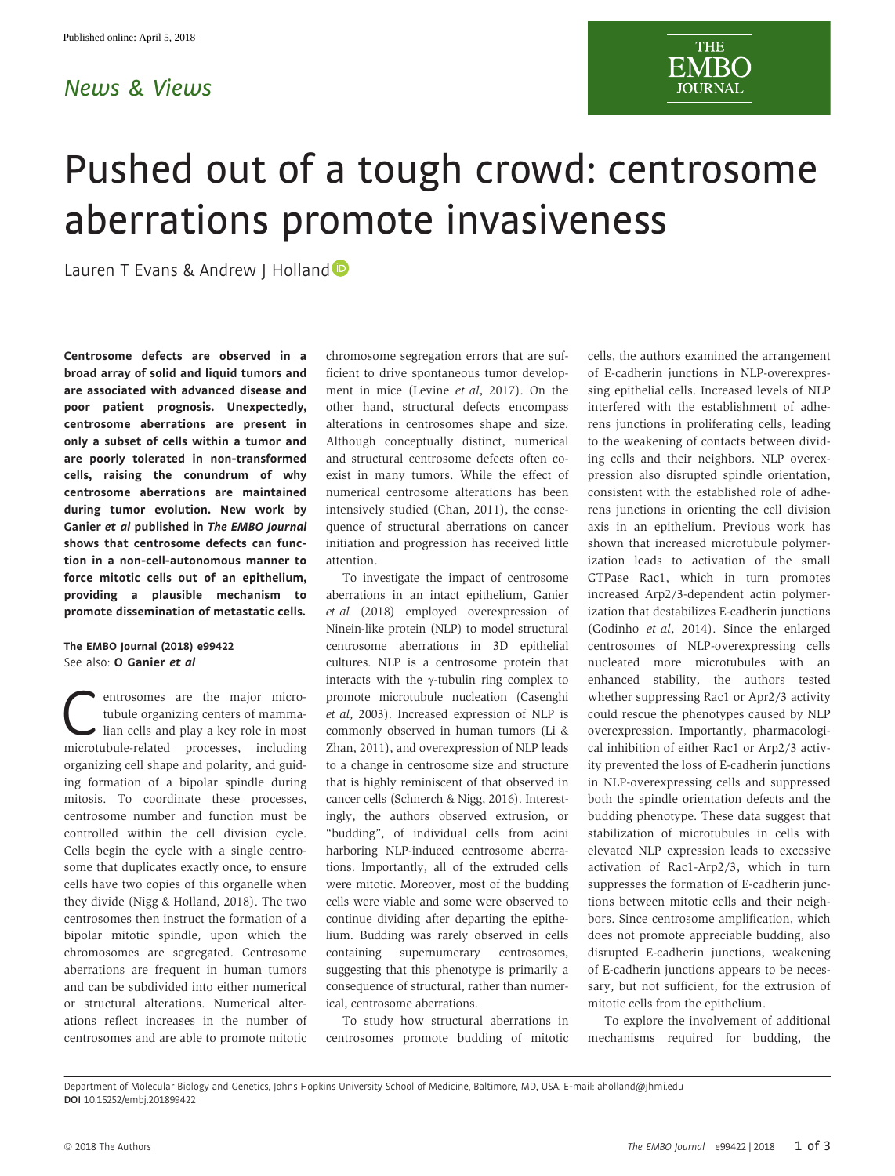## News & Views



## Pushed out of a tough crowd: centrosome aberrations promote invasiveness

Lauren T Evans & Andrew I Holland<sup>®</sup>

Centrosome defects are observed in a broad array of solid and liquid tumors and are associated with advanced disease and poor patient prognosis. Unexpectedly, centrosome aberrations are present in only a subset of cells within a tumor and are poorly tolerated in non-transformed cells, raising the conundrum of why centrosome aberrations are maintained during tumor evolution. New work by Ganier et al published in The EMBO Journal shows that centrosome defects can function in a non-cell-autonomous manner to force mitotic cells out of an epithelium, providing a plausible mechanism to promote dissemination of metastatic cells.

The EMBO Journal (2018) e99422 See also: [O Ganier](https://doi.org/10.15252/embj.201798576) et al

**C**entrosomes are the major micro-<br>tubule organizing centers of mamma-<br>lian cells and play a key role in most<br>microtubule-related processes including tubule organizing centers of mammamicrotubule-related processes, including organizing cell shape and polarity, and guiding formation of a bipolar spindle during mitosis. To coordinate these processes, centrosome number and function must be controlled within the cell division cycle. Cells begin the cycle with a single centrosome that duplicates exactly once, to ensure cells have two copies of this organelle when they divide (Nigg & Holland, 2018). The two centrosomes then instruct the formation of a bipolar mitotic spindle, upon which the chromosomes are segregated. Centrosome aberrations are frequent in human tumors and can be subdivided into either numerical or structural alterations. Numerical alterations reflect increases in the number of centrosomes and are able to promote mitotic chromosome segregation errors that are sufficient to drive spontaneous tumor development in mice (Levine et al, 2017). On the other hand, structural defects encompass alterations in centrosomes shape and size. Although conceptually distinct, numerical and structural centrosome defects often coexist in many tumors. While the effect of numerical centrosome alterations has been intensively studied (Chan, 2011), the consequence of structural aberrations on cancer initiation and progression has received little attention.

To investigate the impact of centrosome aberrations in an intact epithelium, Ganier et al (2018) employed overexpression of Ninein-like protein (NLP) to model structural centrosome aberrations in 3D epithelial cultures. NLP is a centrosome protein that interacts with the  $\gamma$ -tubulin ring complex to promote microtubule nucleation (Casenghi et al, 2003). Increased expression of NLP is commonly observed in human tumors (Li & Zhan, 2011), and overexpression of NLP leads to a change in centrosome size and structure that is highly reminiscent of that observed in cancer cells (Schnerch & Nigg, 2016). Interestingly, the authors observed extrusion, or "budding", of individual cells from acini harboring NLP-induced centrosome aberrations. Importantly, all of the extruded cells were mitotic. Moreover, most of the budding cells were viable and some were observed to continue dividing after departing the epithelium. Budding was rarely observed in cells containing supernumerary centrosomes, suggesting that this phenotype is primarily a consequence of structural, rather than numerical, centrosome aberrations.

To study how structural aberrations in centrosomes promote budding of mitotic cells, the authors examined the arrangement of E-cadherin junctions in NLP-overexpressing epithelial cells. Increased levels of NLP interfered with the establishment of adherens junctions in proliferating cells, leading to the weakening of contacts between dividing cells and their neighbors. NLP overexpression also disrupted spindle orientation, consistent with the established role of adherens junctions in orienting the cell division axis in an epithelium. Previous work has shown that increased microtubule polymerization leads to activation of the small GTPase Rac1, which in turn promotes increased Arp2/3-dependent actin polymerization that destabilizes E-cadherin junctions (Godinho et al, 2014). Since the enlarged centrosomes of NLP-overexpressing cells nucleated more microtubules with an enhanced stability, the authors tested whether suppressing Rac1 or Apr2/3 activity could rescue the phenotypes caused by NLP overexpression. Importantly, pharmacological inhibition of either Rac1 or Arp2/3 activity prevented the loss of E-cadherin junctions in NLP-overexpressing cells and suppressed both the spindle orientation defects and the budding phenotype. These data suggest that stabilization of microtubules in cells with elevated NLP expression leads to excessive activation of Rac1-Arp2/3, which in turn suppresses the formation of E-cadherin junctions between mitotic cells and their neighbors. Since centrosome amplification, which does not promote appreciable budding, also disrupted E-cadherin junctions, weakening of E-cadherin junctions appears to be necessary, but not sufficient, for the extrusion of mitotic cells from the epithelium.

To explore the involvement of additional mechanisms required for budding, the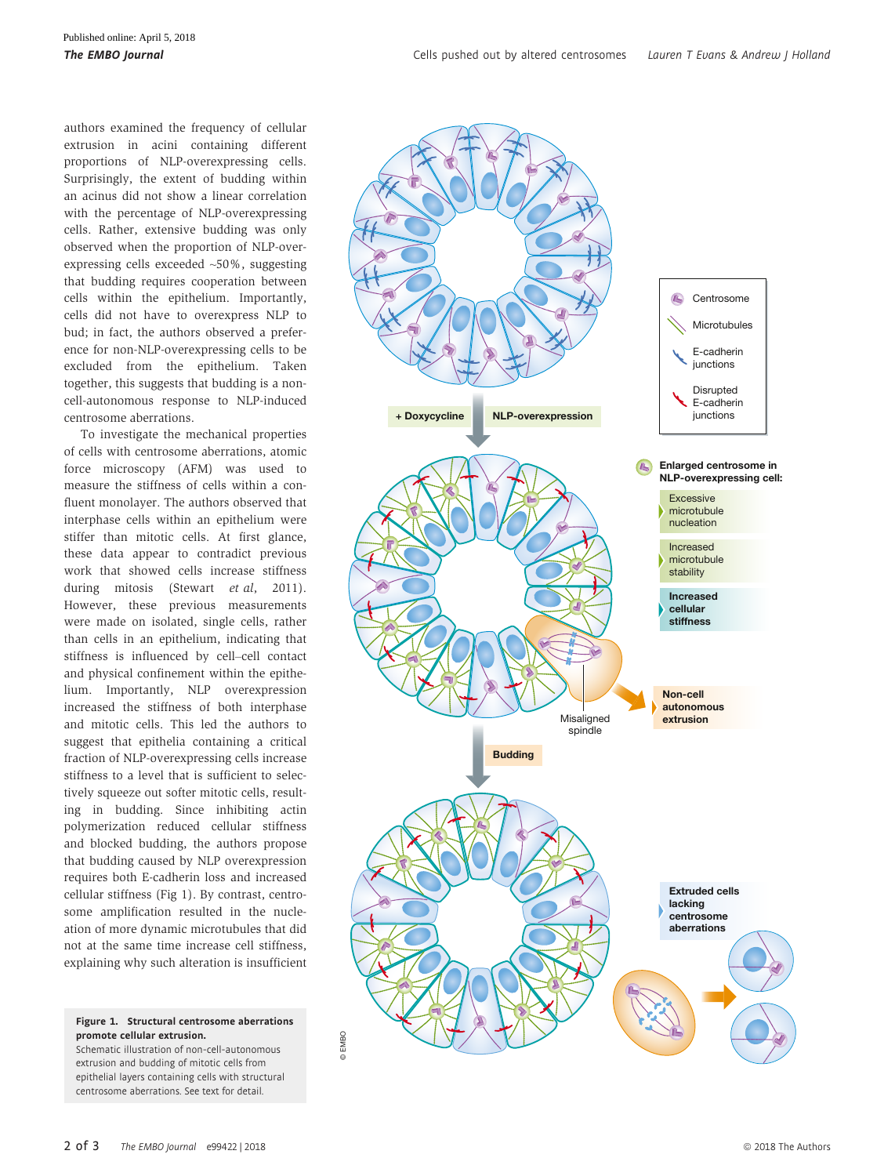authors examined the frequency of cellular extrusion in acini containing different proportions of NLP-overexpressing cells. Surprisingly, the extent of budding within an acinus did not show a linear correlation with the percentage of NLP-overexpressing cells. Rather, extensive budding was only observed when the proportion of NLP-overexpressing cells exceeded ~50%, suggesting that budding requires cooperation between cells within the epithelium. Importantly, cells did not have to overexpress NLP to bud; in fact, the authors observed a preference for non-NLP-overexpressing cells to be excluded from the epithelium. Taken together, this suggests that budding is a noncell-autonomous response to NLP-induced centrosome aberrations.

To investigate the mechanical properties of cells with centrosome aberrations, atomic force microscopy (AFM) was used to measure the stiffness of cells within a confluent monolayer. The authors observed that interphase cells within an epithelium were stiffer than mitotic cells. At first glance, these data appear to contradict previous work that showed cells increase stiffness during mitosis (Stewart et al, 2011). However, these previous measurements were made on isolated, single cells, rather than cells in an epithelium, indicating that stiffness is influenced by cell–cell contact and physical confinement within the epithelium. Importantly, NLP overexpression increased the stiffness of both interphase and mitotic cells. This led the authors to suggest that epithelia containing a critical fraction of NLP-overexpressing cells increase stiffness to a level that is sufficient to selectively squeeze out softer mitotic cells, resulting in budding. Since inhibiting actin polymerization reduced cellular stiffness and blocked budding, the authors propose that budding caused by NLP overexpression requires both E-cadherin loss and increased cellular stiffness (Fig 1). By contrast, centrosome amplification resulted in the nucleation of more dynamic microtubules that did not at the same time increase cell stiffness, explaining why such alteration is insufficient

Figure 1. Structural centrosome aberrations promote cellular extrusion.

Schematic illustration of non-cell-autonomous extrusion and budding of mitotic cells from epithelial layers containing cells with structural centrosome aberrations. See text for detail.